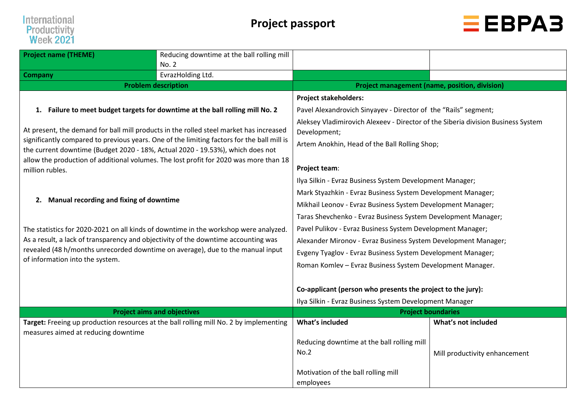



| <b>Project name (THEME)</b>                                                        | Reducing downtime at the ball rolling mill<br>No. 2                                                                                                                                  |                                                                                                                                                   |                               |  |  |  |  |  |  |  |  |
|------------------------------------------------------------------------------------|--------------------------------------------------------------------------------------------------------------------------------------------------------------------------------------|---------------------------------------------------------------------------------------------------------------------------------------------------|-------------------------------|--|--|--|--|--|--|--|--|
| <b>Company</b>                                                                     | EvrazHolding Ltd.                                                                                                                                                                    |                                                                                                                                                   |                               |  |  |  |  |  |  |  |  |
|                                                                                    | <b>Problem description</b>                                                                                                                                                           | <b>Project management (name, position, division)</b>                                                                                              |                               |  |  |  |  |  |  |  |  |
|                                                                                    |                                                                                                                                                                                      | <b>Project stakeholders:</b>                                                                                                                      |                               |  |  |  |  |  |  |  |  |
|                                                                                    | 1. Failure to meet budget targets for downtime at the ball rolling mill No. 2                                                                                                        | Pavel Alexandrovich Sinyayev - Director of the "Rails" segment;                                                                                   |                               |  |  |  |  |  |  |  |  |
| the current downtime (Budget 2020 - 18%, Actual 2020 - 19.53%), which does not     | At present, the demand for ball mill products in the rolled steel market has increased<br>significantly compared to previous years. One of the limiting factors for the ball mill is | Aleksey Vladimirovich Alexeev - Director of the Siberia division Business System<br>Development;<br>Artem Anokhin, Head of the Ball Rolling Shop; |                               |  |  |  |  |  |  |  |  |
| million rubles.                                                                    | allow the production of additional volumes. The lost profit for 2020 was more than 18                                                                                                | Project team:                                                                                                                                     |                               |  |  |  |  |  |  |  |  |
|                                                                                    |                                                                                                                                                                                      | Ilya Silkin - Evraz Business System Development Manager;                                                                                          |                               |  |  |  |  |  |  |  |  |
|                                                                                    |                                                                                                                                                                                      | Mark Styazhkin - Evraz Business System Development Manager;                                                                                       |                               |  |  |  |  |  |  |  |  |
| 2. Manual recording and fixing of downtime                                         |                                                                                                                                                                                      | Mikhail Leonov - Evraz Business System Development Manager;                                                                                       |                               |  |  |  |  |  |  |  |  |
|                                                                                    |                                                                                                                                                                                      | Taras Shevchenko - Evraz Business System Development Manager;                                                                                     |                               |  |  |  |  |  |  |  |  |
|                                                                                    | The statistics for 2020-2021 on all kinds of downtime in the workshop were analyzed.                                                                                                 | Pavel Pulikov - Evraz Business System Development Manager;                                                                                        |                               |  |  |  |  |  |  |  |  |
| As a result, a lack of transparency and objectivity of the downtime accounting was |                                                                                                                                                                                      | Alexander Mironov - Evraz Business System Development Manager;                                                                                    |                               |  |  |  |  |  |  |  |  |
| revealed (48 h/months unrecorded downtime on average), due to the manual input     |                                                                                                                                                                                      | Evgeny Tyaglov - Evraz Business System Development Manager;                                                                                       |                               |  |  |  |  |  |  |  |  |
| of information into the system.                                                    |                                                                                                                                                                                      | Roman Komlev - Evraz Business System Development Manager.                                                                                         |                               |  |  |  |  |  |  |  |  |
|                                                                                    |                                                                                                                                                                                      |                                                                                                                                                   |                               |  |  |  |  |  |  |  |  |
|                                                                                    |                                                                                                                                                                                      | Co-applicant (person who presents the project to the jury):                                                                                       |                               |  |  |  |  |  |  |  |  |
|                                                                                    |                                                                                                                                                                                      | Ilya Silkin - Evraz Business System Development Manager                                                                                           |                               |  |  |  |  |  |  |  |  |
|                                                                                    | <b>Project aims and objectives</b>                                                                                                                                                   |                                                                                                                                                   | <b>Project boundaries</b>     |  |  |  |  |  |  |  |  |
| measures aimed at reducing downtime                                                | Target: Freeing up production resources at the ball rolling mill No. 2 by implementing                                                                                               | What's included                                                                                                                                   | What's not included           |  |  |  |  |  |  |  |  |
|                                                                                    |                                                                                                                                                                                      | Reducing downtime at the ball rolling mill<br>No.2                                                                                                | Mill productivity enhancement |  |  |  |  |  |  |  |  |
|                                                                                    |                                                                                                                                                                                      | Motivation of the ball rolling mill<br>employees                                                                                                  |                               |  |  |  |  |  |  |  |  |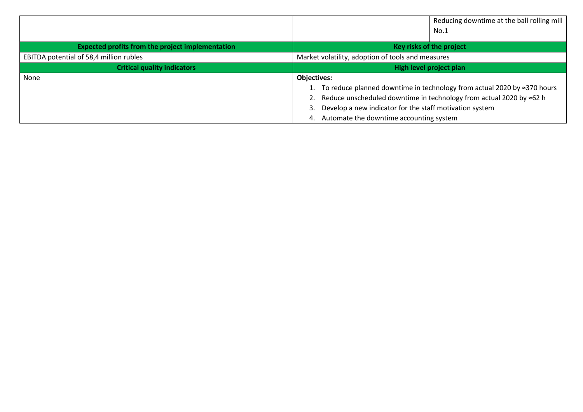|                                                         | Reducing downtime at the ball rolling mill                                          |  |  |  |  |  |  |  |
|---------------------------------------------------------|-------------------------------------------------------------------------------------|--|--|--|--|--|--|--|
|                                                         | No.1                                                                                |  |  |  |  |  |  |  |
| <b>Expected profits from the project implementation</b> | Key risks of the project                                                            |  |  |  |  |  |  |  |
| EBITDA potential of 58,4 million rubles                 | Market volatility, adoption of tools and measures                                   |  |  |  |  |  |  |  |
| <b>Critical quality indicators</b>                      | High level project plan                                                             |  |  |  |  |  |  |  |
| None                                                    | <b>Objectives:</b>                                                                  |  |  |  |  |  |  |  |
|                                                         | 1. To reduce planned downtime in technology from actual 2020 by $\approx$ 370 hours |  |  |  |  |  |  |  |
|                                                         | 2. Reduce unscheduled downtime in technology from actual 2020 by $\approx$ 62 h     |  |  |  |  |  |  |  |
|                                                         | Develop a new indicator for the staff motivation system<br>3.                       |  |  |  |  |  |  |  |
|                                                         | Automate the downtime accounting system<br>4.                                       |  |  |  |  |  |  |  |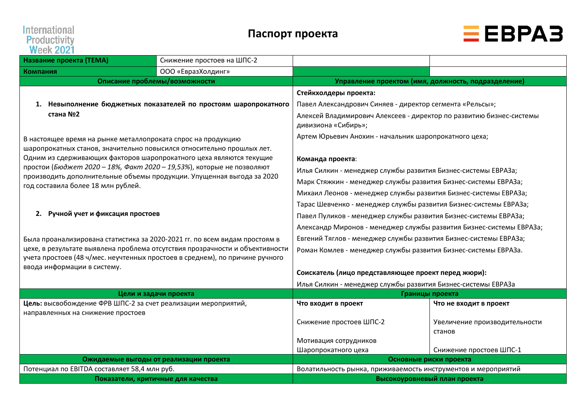# **International<br>Productivity<br>Week 2021**



| 11 JUN 6 JE 1<br>Название проекта (ТЕМА)                                                                                              | Снижение простоев на ШПС-2                                                   |                                                                                            |                               |  |  |  |  |  |  |  |
|---------------------------------------------------------------------------------------------------------------------------------------|------------------------------------------------------------------------------|--------------------------------------------------------------------------------------------|-------------------------------|--|--|--|--|--|--|--|
| Компания                                                                                                                              | ООО «ЕвразХолдинг»                                                           |                                                                                            |                               |  |  |  |  |  |  |  |
|                                                                                                                                       | Описание проблемы/возможности                                                | Управление проектом (имя, должность, подразделение)                                        |                               |  |  |  |  |  |  |  |
|                                                                                                                                       | 1. Невыполнение бюджетных показателей по простоям шаропрокатного             | Стейкхолдеры проекта:<br>Павел Александрович Синяев - директор сегмента «Рельсы»;          |                               |  |  |  |  |  |  |  |
| стана №2                                                                                                                              |                                                                              | Алексей Владимирович Алексеев - директор по развитию бизнес-системы<br>дивизиона «Сибирь»; |                               |  |  |  |  |  |  |  |
| В настоящее время на рынке металлопроката спрос на продукцию<br>шаропрокатных станов, значительно повысился относительно прошлых лет. |                                                                              | Артем Юрьевич Анохин - начальник шаропрокатного цеха;                                      |                               |  |  |  |  |  |  |  |
| Одним из сдерживающих факторов шаропрокатного цеха являются текущие                                                                   |                                                                              | Команда проекта:                                                                           |                               |  |  |  |  |  |  |  |
| простои (Бюджет 2020 - 18%, Факт 2020 - 19,53%), которые не позволяют                                                                 |                                                                              | Илья Силкин - менеджер службы развития Бизнес-системы ЕВРАЗа;                              |                               |  |  |  |  |  |  |  |
| производить дополнительные объемы продукции. Упущенная выгода за 2020<br>год составила более 18 млн рублей.                           |                                                                              | Марк Стяжкин - менеджер службы развития Бизнес-системы ЕВРАЗа;                             |                               |  |  |  |  |  |  |  |
|                                                                                                                                       |                                                                              | Михаил Леонов - менеджер службы развития Бизнес-системы ЕВРАЗа;                            |                               |  |  |  |  |  |  |  |
|                                                                                                                                       |                                                                              | Тарас Шевченко - менеджер службы развития Бизнес-системы ЕВРАЗа;                           |                               |  |  |  |  |  |  |  |
| 2. Ручной учет и фиксация простоев                                                                                                    |                                                                              | Павел Пуликов - менеджер службы развития Бизнес-системы ЕВРАЗа;                            |                               |  |  |  |  |  |  |  |
|                                                                                                                                       |                                                                              | Александр Миронов - менеджер службы развития Бизнес-системы ЕВРАЗа;                        |                               |  |  |  |  |  |  |  |
| Была проанализирована статистика за 2020-2021 гг. по всем видам простоям в                                                            |                                                                              | Евгений Тяглов - менеджер службы развития Бизнес-системы ЕВРАЗа;                           |                               |  |  |  |  |  |  |  |
| учета простоев (48 ч/мес. неучтенных простоев в среднем), по причине ручного                                                          | цехе, в результате выявлена проблема отсутствия прозрачности и объективности | Роман Комлев - менеджер службы развития Бизнес-системы ЕВРАЗа.                             |                               |  |  |  |  |  |  |  |
| ввода информации в систему.                                                                                                           |                                                                              | Соискатель (лицо представляющее проект перед жюри):                                        |                               |  |  |  |  |  |  |  |
|                                                                                                                                       |                                                                              | Илья Силкин - менеджер службы развития Бизнес-системы ЕВРАЗа                               |                               |  |  |  |  |  |  |  |
|                                                                                                                                       | Цели и задачи проекта                                                        | Границы проекта                                                                            |                               |  |  |  |  |  |  |  |
| Цель: высвобождение ФРВ ШПС-2 за счет реализации мероприятий,                                                                         |                                                                              | Что входит в проект                                                                        | Что не входит в проект        |  |  |  |  |  |  |  |
| направленных на снижение простоев                                                                                                     |                                                                              | Снижение простоев ШПС-2                                                                    | Увеличение производительности |  |  |  |  |  |  |  |
|                                                                                                                                       |                                                                              | Мотивация сотрудников                                                                      | станов                        |  |  |  |  |  |  |  |
|                                                                                                                                       |                                                                              | Шаропрокатного цеха                                                                        | Снижение простоев ШПС-1       |  |  |  |  |  |  |  |
|                                                                                                                                       | Ожидаемые выгоды от реализации проекта                                       |                                                                                            | Основные риски проекта        |  |  |  |  |  |  |  |
| Потенциал по ЕВІТDА составляет 58,4 млн руб.                                                                                          |                                                                              | Волатильность рынка, приживаемость инструментов и мероприятий                              |                               |  |  |  |  |  |  |  |
|                                                                                                                                       | Показатели, критичные для качества                                           | Высокоуровневый план проекта                                                               |                               |  |  |  |  |  |  |  |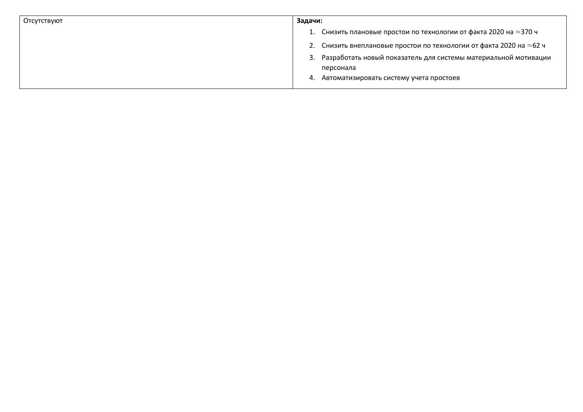| Отсутствуют | Задачи: |                                                                              |
|-------------|---------|------------------------------------------------------------------------------|
|             |         | 1. Снизить плановые простои по технологии от факта 2020 на $\approx$ 370 ч   |
|             |         | 2. Снизить внеплановые простои по технологии от факта 2020 на $\approx$ 62 ч |
|             |         | 3. Разработать новый показатель для системы материальной мотивации           |
|             |         | персонала                                                                    |
|             |         | 4. Автоматизировать систему учета простоев                                   |
|             |         |                                                                              |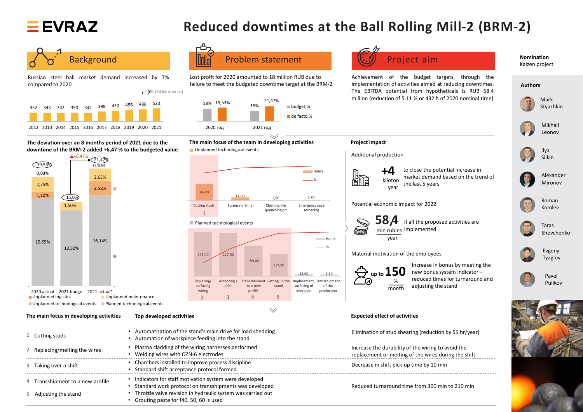

## **Reduced downtimes at the Ball Rolling Mill-2 (BRM-2)**



Russian steel ball market demand increased by 7% compared to 2020

**Nomination**  Kaizen project

**Authors**



Mark Styazhkin



Ilya Silkin



Mikhail Leonov



Alexander Mironov



Roman Komlev



Taras Shevchenko



Evgeny Tyaglov



Pavel Pulikov





Background **Profession Indian Problem statement** (CI) Project aim





Lost profit for 2020 amounted to 18 million RUB due to failure to meet the budgeted downtime target at the BRM-2

Achievement of the budget targets, through the implementation of activities aimed at reducing downtimes. The EBITDA potential from hypotheticals is RUB 58.4 million (reduction of 5.11 % or 432 h of 2020 nominal time)

• Automatization of the stand's main drive for load shedding Elimination of stud shearing (reduction by 55 hr/year) **1** • Automation of workpiece feeding into the stand • Plasma cladding of the wiring harnesses performed Increase the durability of the wiring to avoid the 2 Replacing/melting the wires • Welding wires with OZN-6 electrodes replacement or melting of the wires during the shift • Chambers installed to improve process discipline Decrease in shift pick-up time by 10 min **3** Taking over a shift • Standard shift acceptance protocol formed ------------------------• Indicators for staff motivation system were developed 4 Transshipment to a new profile • Standard work protocol on transshipments was developed Reduced turnaround time from 300 min to 210 min • Throttle valve revision in hydraulic system was carried out Adjusting the stand **5** • Grouting paste for f40, 50, 60 is used



**The main focus in developing activities Top developed activities Expected effect of activities**

Increase in bonus by meeting the new bonus system indicator – reduced times for turnaround and

to close the potential increase in market demand based on the trend of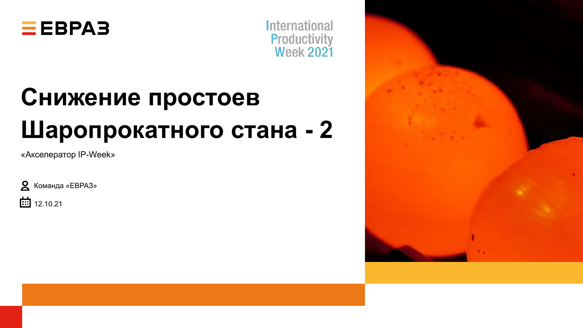



# **Снижение простоев Шаропрокатного стана - 2**

«Акселератор IP-Week»





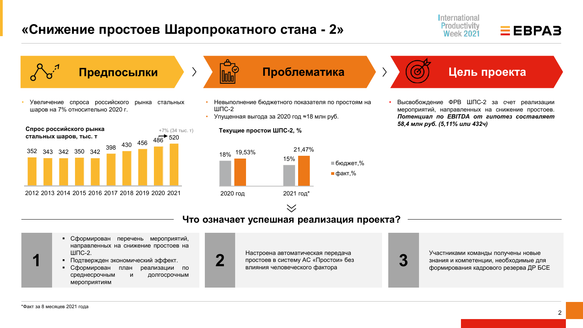## **«Снижение простоев Шаропрокатного стана - 2»**





**Предпосылки**

• Увеличение спроса российского рынка стальных шаров на 7% относительно 2020 г.





- Невыполнение бюджетного показателя по простоям на ШПС-2
- Упущенная выгода за 2020 год ≈18 млн руб.

**Текущие простои ШПС-2, %**



• Высвобождение ФРВ ШПС-2 за счет реализации мероприятий, направленных на снижение простоев. *Потенциал по EBITDA от гипотез составляет 58,4 млн руб. (5,11% или 432ч)*

**Что означает успешная реализация проекта?**

 $\searrow$ 

- Сформирован перечень мероприятий, направленных на снижение простоев на  $IIIIC-2.$
- Подтвержден экономический эффект.
- Сформирован план реализации по среднесрочным и долгосрочным мероприятиям



**2** Настроена автоматическая передача<br>простоев в систему АС «Простои» без<br>влияния человеческого фактора простоев в систему АС «Простои» без влияния человеческого фактора **3** Участниками команды получены новые



знания и компетенции, необходимые для формирования кадрового резерва ДР БСЕ

**1**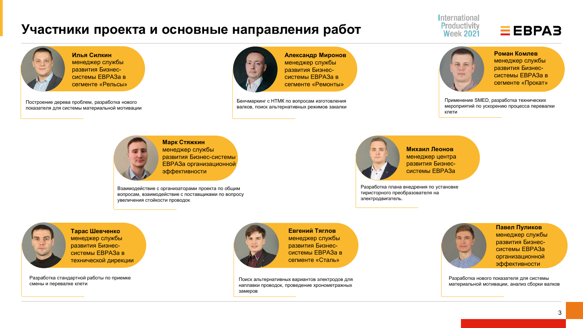## **Участники проекта и основные направления работ**

International Productivity **Week 2021** 

## $EEBPAB$

**Илья Силкин** менеджер службы развития Бизнессистемы ЕВРАЗа в сегменте «Рельсы»

Построение дерева проблем, разработка нового показателя для системы материальной мотивации



**Александр Миронов**  менеджер службы развития Бизнессистемы ЕВРАЗа в сегменте «Ремонты»

Бенчмаркинг с НТМК по вопросам изготовления валков, поиск альтернативных режимов закалки



**Роман Комлев** менеджер службы развития Бизнессистемы ЕВРАЗа в сегменте «Прокат»

Применение SMED, разработка технических мероприятий по ускорению процесса перевалки клети



**Марк Стяжкин** менеджер службы развития Бизнес-системы ЕВРАЗа организационной эффективности

Взаимодействие с организаторами проекта по общим вопросам, взаимодействие с поставщиками по вопросу увеличения стойкости проводок



**Михаил Леонов** менеджер центра развития Бизнессистемы ЕВРАЗа

Разработка плана внедрения по установке тиристорного преобразователя на электродвигатель.



**Тарас Шевченко** менеджер службы развития Бизнессистемы ЕВРАЗа в технической дирекции

Разработка стандартной работы по приемке смены и перевалке клети



**Евгений Тяглов** менеджер службы развития Бизнессистемы ЕВРАЗа в сегменте «Сталь»

Поиск альтернативных вариантов электродов для наплавки проводок, проведение хронометражных замеров



**Павел Пуликов** менеджер службы развития Бизнессистемы ЕВРАЗа организационной эффективности

Разработка нового показателя для системы материальной мотивации, анализ сборки валков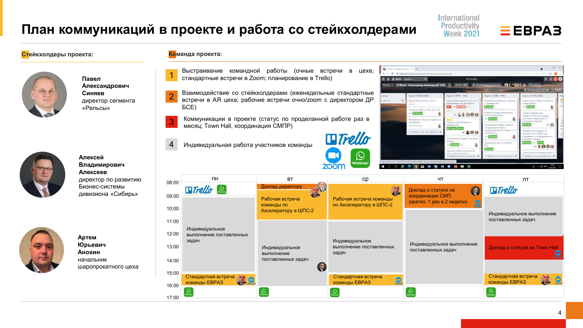## **План коммуникаций в проекте и работа со стейкхолдерами**

International Productivity **Week 2021** 



#### **Стейкхолдеры проекта: Команда проекта:**

17:00



**Павел Александрович Синяев** директор сегмента «Рельсы»



**Алексей Владимирович Алексеев** директор по развитию Бизнес-системы дивизиона «Сибирь»



**Артем Юрьевич Анохин** начальник шаропрокатного цеха

|                | Выстраивание<br>стандартные встречи в Zoom; планирование в Trello)                                                                 | командной работы<br>(очные                                                | встречи<br>B<br>цехе:                                         | To IT Week - Accompany Streams: K +<br><b>П</b> © Ш Доски Переднак.                                       | # tratio.com/b/gRessCs/p-week-anconopatop-strutaids-dp-fin<br>$\alpha$                                          | <b>Il Trello</b>                                                                                                                         |                                                                                                                                                | $\Box$<br>$+$ 0 $\Delta$ $\bullet$                                                                                                   |
|----------------|------------------------------------------------------------------------------------------------------------------------------------|---------------------------------------------------------------------------|---------------------------------------------------------------|-----------------------------------------------------------------------------------------------------------|-----------------------------------------------------------------------------------------------------------------|------------------------------------------------------------------------------------------------------------------------------------------|------------------------------------------------------------------------------------------------------------------------------------------------|--------------------------------------------------------------------------------------------------------------------------------------|
|                | Взаимодействие со стейкхолдерами (еженедельные стандартные<br>встречи в АЯ цеха; рабочие встречи очно/zoom с директором ДР<br>ECE) |                                                                           | салонку.                                                      | Спринт 7 (21.05.25.06)<br>ронометрож приемии смень<br>E NA<br>lassasiers acrosure ABA na 5 more<br>0.32mm | Creater 6 107.06 - 11.06)<br>Сформировать дерево причини п ./<br>5-3ПШ местору мысчения<br><b>A</b> O Oliman Os | Copster 5 (31.05 - 04.00)<br>vance «It actpe»<br>Подготовка матер<br>с Синавения П.А.<br>0: 1<br>Назначить карсад очных встреч           | Amountesces (20 Tim)<br>Creamin & (24.05, 28.05)<br>bcowencean, roadwe no now<br>S-DIDE a www.<br>$\circ$ =<br><b>DRESS CUNTING FOL INCHIN</b> |                                                                                                                                      |
| 3              | Коммуникации в проекте (статус по проделанной работе раз в<br>месяц; Town Hall, координация СМПР)                                  |                                                                           |                                                               | (втериалы по статусу по проекта<br>ucanopatoe<br>B @ 28 mm<br>- Добавть еще одну картингу - 6             | 41000<br>Провести крономитеалия по-<br><b>HELD SSMGRIDT</b><br>3 11 novembar 23<br><b>ROOC</b>                  | <b>UTIC-2 AN KOMPANY</b><br>Сформировать заявку на участии<br>международной недели<br>rpovosogurtenje octu IP Week (11-1)<br>amiños 2021 | еревалкам Стисать текущее<br>оп вонахопрадя и вникото                                                                                          |                                                                                                                                      |
|                | Индивидуальная работа участников команды                                                                                           |                                                                           | <b><i>ETrello</i></b><br>ئا<br><b>NhatsApp</b><br><b>ZOON</b> | P                                                                                                         | ◎ ⑨ ◎ ◎                                                                                                         | Arreamissioners, roadete regionato<br>HB UHDHE<br><b>Children</b><br>Провести встречу с тальклогами<br><b>NEW ARRIVE BRANCH</b><br>$-1$  | $01 -$<br>ровидны встреча с Симявани<br>ோ-<br>4. Добавить еще вань кортомал                                                                    | иенкам смеч в ШПС-2 для<br>CONTRACTORSOCIES INTERNATION<br>намира в бодност<br><b>PT</b> Riss<br>$\bullet 2000$<br>A A do PAC annual |
| 08:00          | $\Pi$ H                                                                                                                            | <b>BT</b>                                                                 | cp                                                            |                                                                                                           | ЧT                                                                                                              |                                                                                                                                          |                                                                                                                                                | $\Pi$                                                                                                                                |
| 09:00<br>10:00 | $\blacksquare$ Trello                                                                                                              | Доклад директору<br>Рабочая встреча<br>команды по<br>Акселератору в ШПС-2 | Рабочая встреча команды<br>по Акселератору в ШПС-2            | 風                                                                                                         | Доклад о статусе на<br>координации СМП<br>(кратко: 1 раз в 2 недели)                                            |                                                                                                                                          | <b><i>ETrello</i></b>                                                                                                                          | Индивидуальное выполнение                                                                                                            |
| 11:00          | Индивидуальное                                                                                                                     |                                                                           |                                                               |                                                                                                           |                                                                                                                 |                                                                                                                                          | поставленных задач                                                                                                                             |                                                                                                                                      |
| 12:00<br>13:00 | выполнение поставленных<br>задач                                                                                                   | Индивидуальное<br>выполнение                                              | Индивидуальное<br>выполнение поставленных<br>задач            |                                                                                                           | Индивидуальное выполнение<br>поставленных задач                                                                 |                                                                                                                                          |                                                                                                                                                | Доклад о статусе на Town Hall                                                                                                        |
| 14:00          |                                                                                                                                    | поставленных задач                                                        |                                                               |                                                                                                           |                                                                                                                 |                                                                                                                                          |                                                                                                                                                | zoorr                                                                                                                                |
| 15:00          | Стандартная встреча<br>команды ЕВРАЗ                                                                                               |                                                                           | Стандартная встреча<br>команды ЕВРАЗ                          | $\bigcirc$                                                                                                |                                                                                                                 |                                                                                                                                          | Стандартная встреча<br>команды ЕВРАЗ                                                                                                           |                                                                                                                                      |
| 16:00          | $\odot$                                                                                                                            | $\circledcirc$                                                            | $\circledcirc$                                                |                                                                                                           | $\circledcirc$                                                                                                  |                                                                                                                                          | $\Omega$                                                                                                                                       |                                                                                                                                      |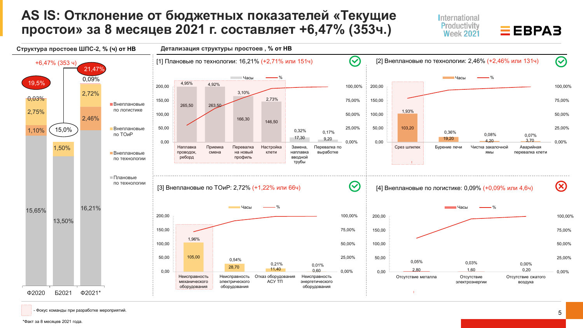## **AS IS: Отклонение от бюджетных показателей «Текущие простои» за 8 месяцев 2021 г. составляет +6,47% (353ч.)**

International Productivity  $EEBPAB$ **Week 2021** 



- Фокус команды при разработке мероприятий.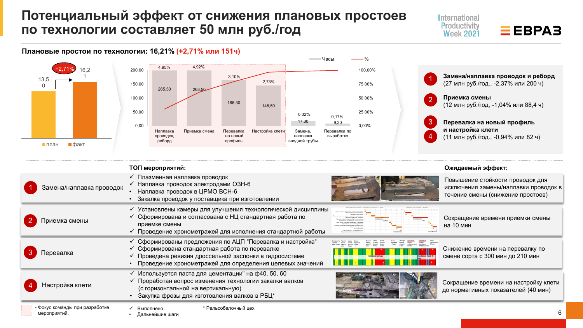## **Потенциальный эффект от снижения плановых простоев по технологии составляет 50 млн руб./год**





### **Плановые простои по технологии: 16,21% (+2,71% или 151ч)**

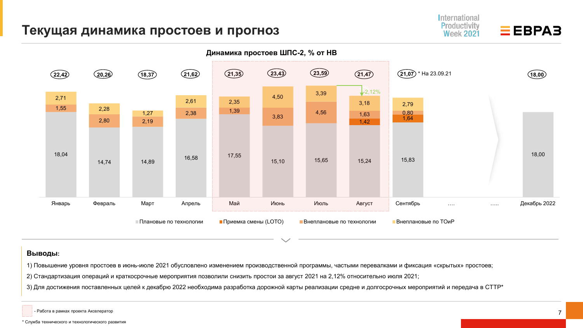### **Текущая динамика простоев и прогноз**



### **Выводы:**

1) Повышение уровня простоев в июнь-июле 2021 обусловлено изменением производственной программы, частыми перевалками и фиксация «скрытых» простоев;

2) Стандартизация операций и краткосрочные мероприятия позволили снизить простои за август 2021 на 2,12% относительно июля 2021;

3) Для достижения поставленных целей к декабрю 2022 необходима разработка дорожной карты реализации средне и долгосрочных мероприятий и передача в СТТР\*

- Работа в рамках проекта Акселератор

International Productivity

**Week 2021** 

 $EEBPAB$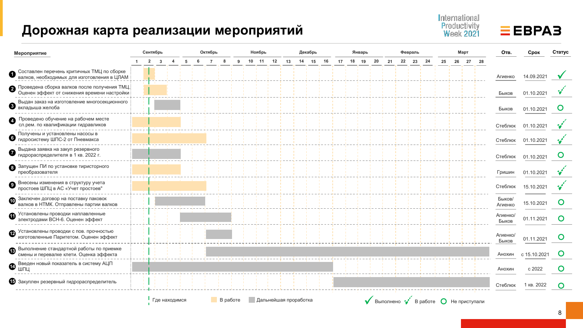## **Дорожная карта реализации мероприятий**

| Мероприятие                                                                                   | Сентябрь       |              |               |   |     | Октябрь        |          |            | Ноябрь |                       | Декабрь |    |    | Январь   |  |    | Февраль |    |                                                                                       | Март  |    | <b>Отв.</b>       | Срок         | Статус         |
|-----------------------------------------------------------------------------------------------|----------------|--------------|---------------|---|-----|----------------|----------|------------|--------|-----------------------|---------|----|----|----------|--|----|---------|----|---------------------------------------------------------------------------------------|-------|----|-------------------|--------------|----------------|
|                                                                                               | $\overline{2}$ | $\mathbf{3}$ | 4             | 5 | - 6 | $\overline{7}$ | 8        | 9 10 11 12 |        | 13                    | 14 15   | 16 | 17 | 18 19 20 |  | 21 | 22 23   | 24 | 25                                                                                    | 26 27 | 28 |                   |              |                |
| Составлен перечень критичных ТМЦ по сборке<br>валков, необходимых для изготовления в ЦЛАМ     |                |              |               |   |     |                |          |            |        |                       |         |    |    |          |  |    |         |    |                                                                                       |       |    | Агиенко           | 14.09.2021   |                |
| ● Проведена сборка валков после получения ТМЦ.<br>Оценен эффект от снижения времени настройки |                |              |               |   |     |                |          |            |        |                       |         |    |    |          |  |    |         |    |                                                                                       |       |    | Быков             | 01.10.2021   |                |
| Выдан заказ на изготовление многосекционного<br>U<br>вкладыша желоба                          |                |              |               |   |     |                |          |            |        |                       |         |    |    |          |  |    |         |    |                                                                                       |       |    | Быков             | 01.10.2021   | Ő              |
| Проведено обучение на рабочем месте<br>сл.рем. по квалификации гидравликов                    |                |              |               |   |     |                |          |            |        |                       |         |    |    |          |  |    |         |    |                                                                                       |       |    | Стеблюк           | 01.10.2021   |                |
| Получены и установлены насосы в<br>О гидросистему ШПС-2 от Пневмакса                          |                |              |               |   |     |                |          |            |        |                       |         |    |    |          |  |    |         |    |                                                                                       |       |    | Стеблюк           | 01.10.2021   |                |
| Выдана заявка на закуп резервного<br>гидрораспределителя в 1 кв. 2022 г.                      |                |              |               |   |     |                |          |            |        |                       |         |    |    |          |  |    |         |    |                                                                                       |       |    | Стеблюк           | 01.10.2021   | Ő              |
| 3 Запущен ПИ по установке тиристорного<br>преобразователя                                     |                |              |               |   |     |                |          |            |        |                       |         |    |    |          |  |    |         |    |                                                                                       |       |    | Гришин            | 01.10.2021   |                |
| Внесены изменения в структуру учета<br>простоев ШПЦ в АС «Учет простоев"                      |                |              |               |   |     |                |          |            |        |                       |         |    |    |          |  |    |         |    |                                                                                       |       |    | Стеблюк           | 15.10.2021   |                |
| <b>10</b> Заключен договор на поставку паковок<br>валков в НТМК. Отправлены партии валков     |                |              |               |   |     |                |          |            |        |                       |         |    |    |          |  |    |         |    |                                                                                       |       |    | Быков/<br>Агиенко | 15.10.2021   | $\mathbf O$    |
| $\Phi$ Установлены проводки наплавленные<br>электродами ВСН-6. Оценен эффект                  |                |              |               |   |     |                |          |            |        |                       |         |    |    |          |  |    |         |    |                                                                                       |       |    | Агиенко/<br>Быков | 01.11.2021   | $\circ$        |
| <b>2</b> Установлены проводки с пов. прочностью<br>изготовленные Паритетом. Оценен эффект     |                |              |               |   |     |                |          |            |        |                       |         |    |    |          |  |    |         |    |                                                                                       |       |    | Агиенко/<br>Быков | 01.11.2021   | $\mathbf C$    |
| Выполнение стандартной работы по приемке<br>®<br>смены и перевалке клети. Оценка эффекта      |                |              |               |   |     |                |          |            |        |                       |         |    |    |          |  |    |         |    |                                                                                       |       |    | Анохин            | c 15.10.2021 | $\mathbf{O}$   |
| ❹ <sup>Введен</sup> новый показатель в систему АЦП<br>шПЦ                                     |                |              |               |   |     |                |          |            |        |                       |         |    |    |          |  |    |         |    |                                                                                       |       |    | Анохин            | c 2022       | $\mathbf O$    |
| В Закуплен резервный гидрораспределитель                                                      |                |              |               |   |     |                |          |            |        |                       |         |    |    |          |  |    |         |    |                                                                                       |       |    | Стеблюк           | 1 кв. 2022   | $\overline{O}$ |
|                                                                                               |                |              | Где находимся |   |     |                | В работе |            |        | Дальнейшая проработка |         |    |    |          |  |    |         |    | $\blacktriangledown$ Выполнено $\blacktriangledown$ В работе $\bigcirc$ Не приступали |       |    |                   |              |                |